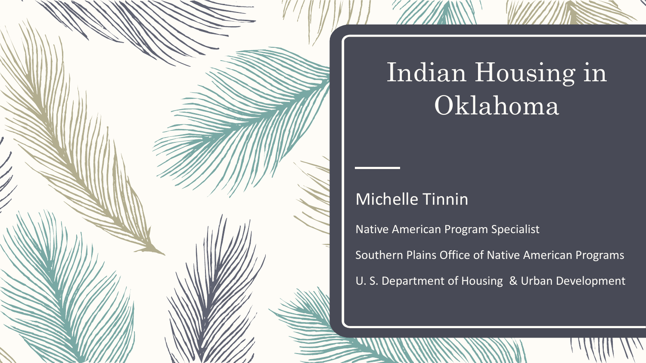

### Indian Housing in Oklahoma

### Michelle Tinnin

Native American Program Specialist

Southern Plains Office of Native American Programs

U. S. Department of Housing & Urban Development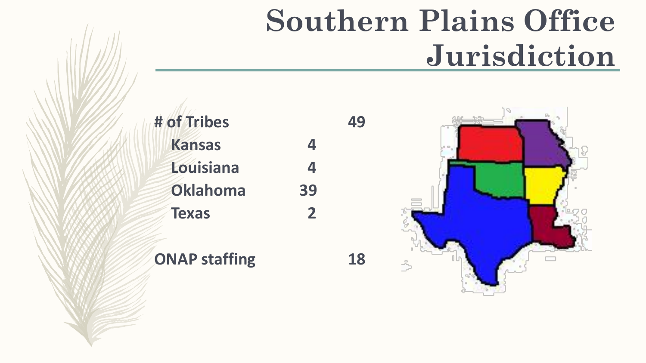## **Southern Plains Office Jurisdiction**

**# of Tribes 49 Kansas 4 Louisiana 4 Oklahoma 39 Texas 2**

### **ONAP staffing 18**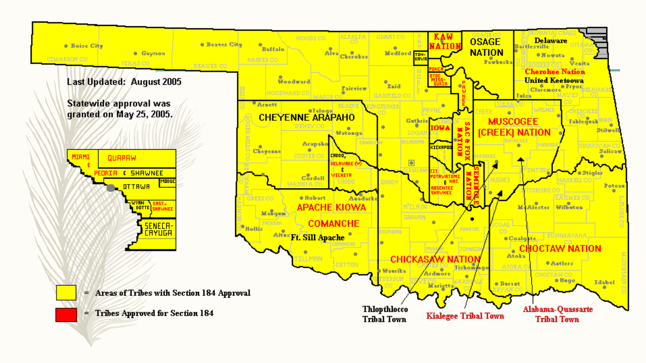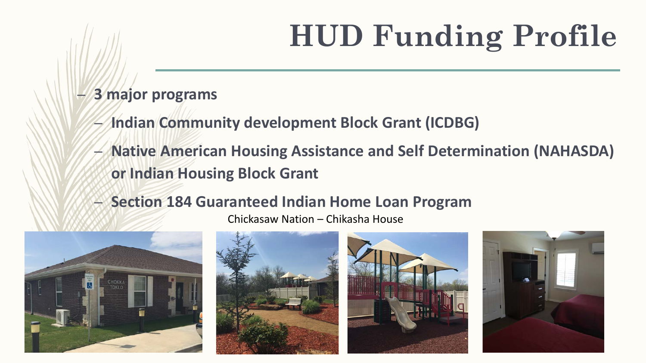# **HUD Funding Profile**

- **3 major programs**
	- **Indian Community development Block Grant (ICDBG)**
	- **Native American Housing Assistance and Self Determination (NAHASDA) or Indian Housing Block Grant**
	- **Section 184 Guaranteed Indian Home Loan Program**

Chickasaw Nation – Chikasha House







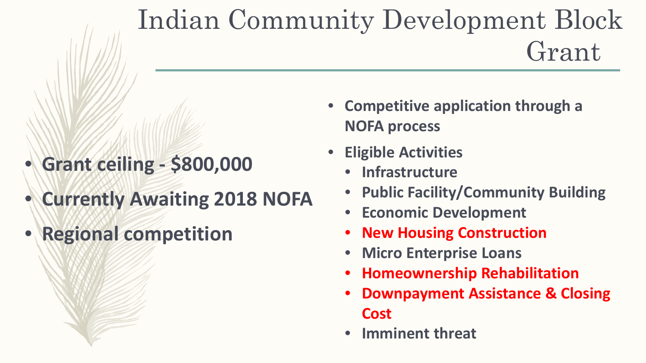### Indian Community Development Block Grant

- **Grant ceiling - \$800,000**
- **Currently Awaiting 2018 NOFA**
- **Regional competition**
- **Competitive application through a NOFA process**
- **Eligible Activities**
	- **Infrastructure**
	- **Public Facility/Community Building**
	- **Economic Development**
	- **New Housing Construction**
	- **Micro Enterprise Loans**
	- **Homeownership Rehabilitation**
	- **Downpayment Assistance & Closing Cost**
	- **Imminent threat**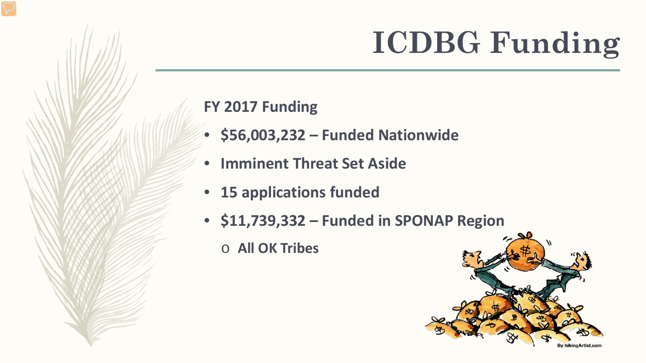# **ICDBG Funding**

### **FY 2017 Funding**

- **\$56,003,232 – Funded Nationwide**
- **Imminent Threat Set Aside**
- **15 applications funded**
- **\$11,739,332 – Funded in SPONAP Region** 
	- o **All OK Tribes**

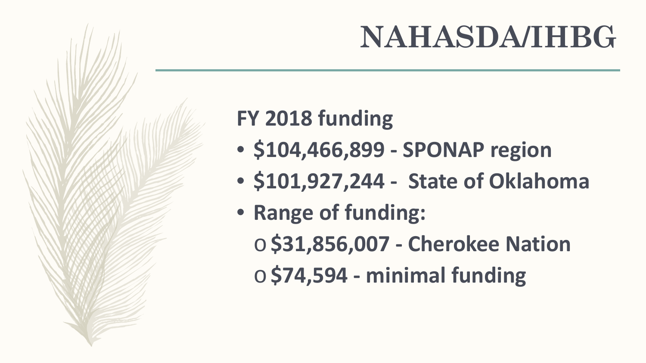### **NAHASDA/IHBG**

### **FY 2018 funding**

- **\$104,466,899 - SPONAP region**
- **\$101,927,244 - State of Oklahoma**
- **Range of funding:** 
	- o**\$31,856,007 - Cherokee Nation**
	- o**\$74,594 - minimal funding**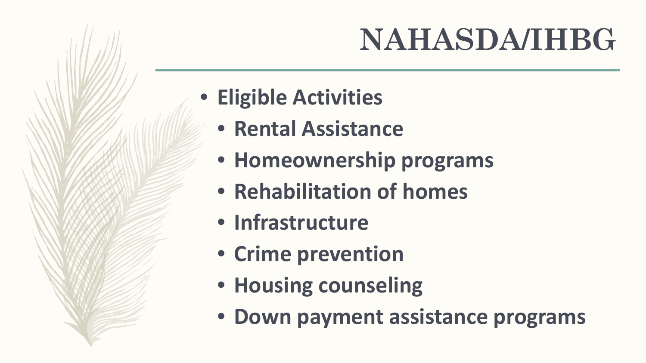## **NAHASDA/IHBG**

- **Eligible Activities**
	- **Rental Assistance**
	- **Homeownership programs**
	- **Rehabilitation of homes**
	- **Infrastructure**
	- **Crime prevention**
	- **Housing counseling**
	- **Down payment assistance programs**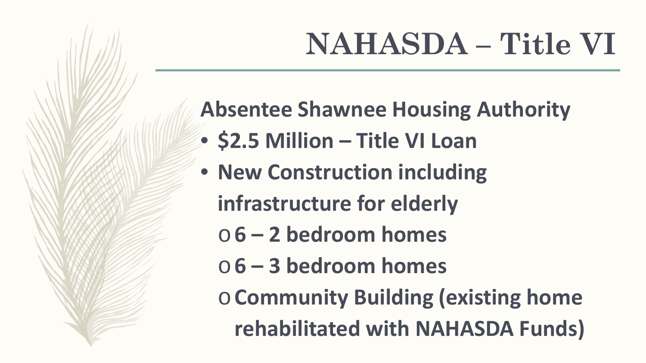# **NAHASDA – Title VI**

**Absentee Shawnee Housing Authority**

- **\$2.5 Million – Title VI Loan**
- **New Construction including infrastructure for elderly**
	- o**6 – 2 bedroom homes**
	- o**6 – 3 bedroom homes**
	- o**Community Building (existing home rehabilitated with NAHASDA Funds)**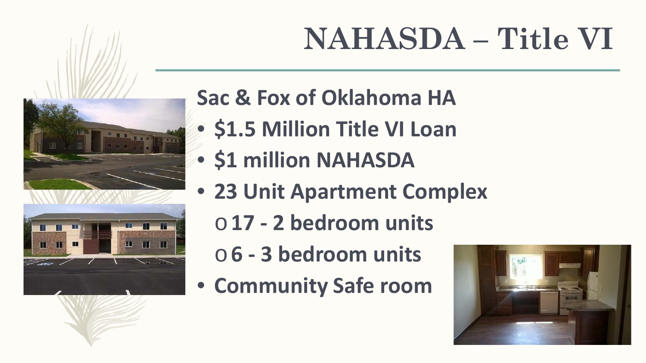# **NAHASDA – Title VI**



**Sac & Fox of Oklahoma HA**

- **\$1.5 Million Title VI Loan**
- **\$1 million NAHASDA**
- **23 Unit Apartment Complex**
	- o**17 - 2 bedroom units**
	- o**6 - 3 bedroom units**
- **Community Safe room**

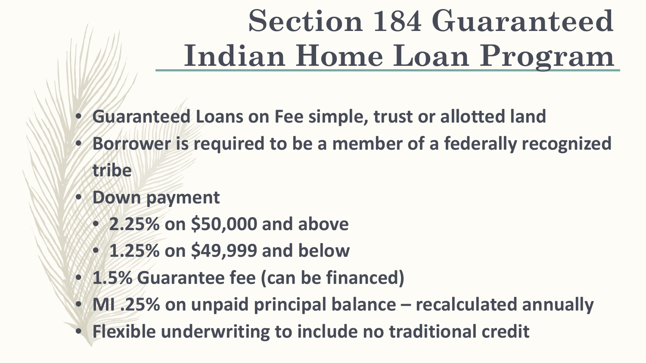# **Section 184 Guaranteed Indian Home Loan Program**

- **Guaranteed Loans on Fee simple, trust or allotted land**
- **Borrower is required to be a member of a federally recognized tribe**
- **Down payment**
	- **2.25% on \$50,000 and above**
	- **1.25% on \$49,999 and below**
- **1.5% Guarantee fee (can be financed)**
- **MI .25% on unpaid principal balance – recalculated annually**
- **Flexible underwriting to include no traditional credit**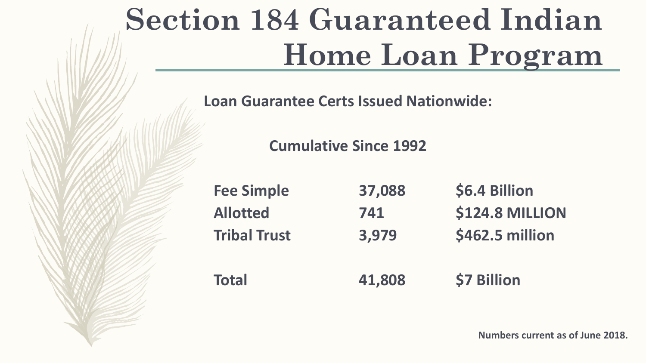## **Section 184 Guaranteed Indian Home Loan Program**

**Loan Guarantee Certs Issued Nationwide:**

**Cumulative Since 1992**

| <b>Fee Simple</b>   | 37,088 | \$6.4 Billion          |
|---------------------|--------|------------------------|
| <b>Allotted</b>     | 741    | <b>\$124.8 MILLION</b> |
| <b>Tribal Trust</b> | 3,979  | \$462.5 million        |
| <b>Total</b>        | 41,808 | \$7 Billion            |